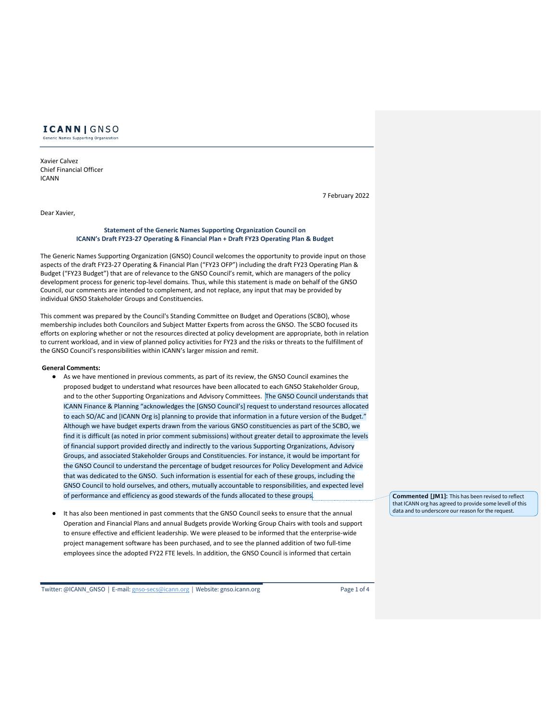

Xavier Calvez Chief Financial Officer ICANN

Dear Xavier,

# 7 February 2022

#### **Statement of the Generic Names Supporting Organization Council on ICANN's Draft FY23-27 Operating & Financial Plan + Draft FY23 Operating Plan & Budget**

The Generic Names Supporting Organization (GNSO) Council welcomes the opportunity to provide input on those aspects of the draft FY23-27 Operating & Financial Plan ("FY23 OFP") including the draft FY23 Operating Plan & Budget ("FY23 Budget") that are of relevance to the GNSO Council's remit, which are managers of the policy development process for generic top-level domains. Thus, while this statement is made on behalf of the GNSO Council, our comments are intended to complement, and not replace, any input that may be provided by individual GNSO Stakeholder Groups and Constituencies.

This comment was prepared by the Council's Standing Committee on Budget and Operations (SCBO), whose membership includes both Councilors and Subject Matter Experts from across the GNSO. The SCBO focused its efforts on exploring whether or not the resources directed at policy development are appropriate, both in relation to current workload, and in view of planned policy activities for FY23 and the risks or threats to the fulfillment of the GNSO Council's responsibilities within ICANN's larger mission and remit.

#### **General Comments:**

- As we have mentioned in previous comments, as part of its review, the GNSO Council examines the proposed budget to understand what resources have been allocated to each GNSO Stakeholder Group, and to the other Supporting Organizations and Advisory Committees. The GNSO Council understands that ICANN Finance & Planning "acknowledges the [GNSO Council's] request to understand resources allocated to each SO/AC and [ICANN Org is] planning to provide that information in a future version of the Budget." Although we have budget experts drawn from the various GNSO constituencies as part of the SCBO, we find it is difficult (as noted in prior comment submissions) without greater detail to approximate the levels of financial support provided directly and indirectly to the various Supporting Organizations, Advisory Groups, and associated Stakeholder Groups and Constituencies. For instance, it would be important for the GNSO Council to understand the percentage of budget resources for Policy Development and Advice that was dedicated to the GNSO. Such information is essential for each of these groups, including the GNSO Council to hold ourselves, and others, mutually accountable to responsibilities, and expected level of performance and efficiency as good stewards of the funds allocated to these groups.
- It has also been mentioned in past comments that the GNSO Council seeks to ensure that the annual Operation and Financial Plans and annual Budgets provide Working Group Chairs with tools and support to ensure effective and efficient leadership. We were pleased to be informed that the enterprise-wide project management software has been purchased, and to see the planned addition of two full-time employees since the adopted FY22 FTE levels. In addition, the GNSO Council is informed that certain

Twitter: @ICANN\_GNSO | E-mail: gnso-secs@icann.org | Website: gnso.icann.org Page 1 of 4

**Commented [JM1]:** This has been revised to reflect that ICANN org has agreed to provide some levell of this data and to underscore our reason for the request.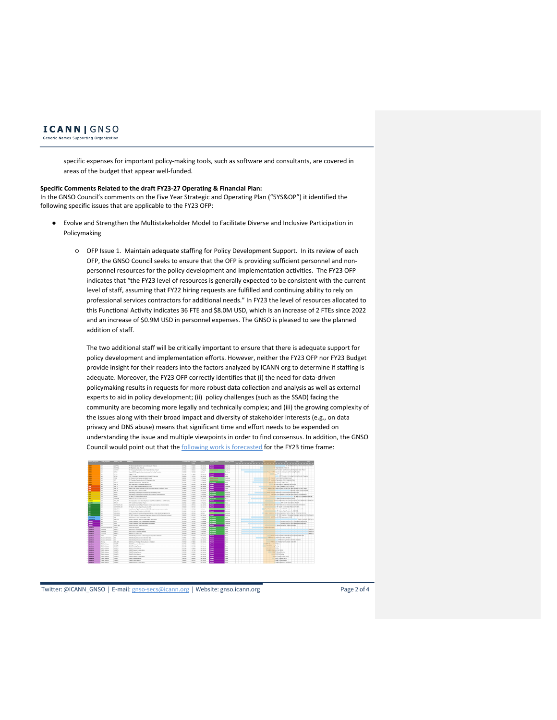

Generic Names Supporting Organization

specific expenses for important policy-making tools, such as software and consultants, are covered in areas of the budget that appear well-funded.

#### **Specific Comments Related to the draft FY23-27 Operating & Financial Plan:**

In the GNSO Council's comments on the Five Year Strategic and Operating Plan ("5YS&OP") it identified the following specific issues that are applicable to the FY23 OFP:

- Evolve and Strengthen the Multistakeholder Model to Facilitate Diverse and Inclusive Participation in Policymaking
	- OFP Issue 1. Maintain adequate staffing for Policy Development Support. In its review of each OFP, the GNSO Council seeks to ensure that the OFP is providing sufficient personnel and nonpersonnel resources for the policy development and implementation activities. The FY23 OFP indicates that "the FY23 level of resources is generally expected to be consistent with the current level of staff, assuming that FY22 hiring requests are fulfilled and continuing ability to rely on professional services contractors for additional needs." In FY23 the level of resources allocated to this Functional Activity indicates 36 FTE and \$8.0M USD, which is an increase of 2 FTEs since 2022 and an increase of \$0.9M USD in personnel expenses. The GNSO is pleased to see the planned addition of staff.

The two additional staff will be critically important to ensure that there is adequate support for policy development and implementation efforts. However, neither the FY23 OFP nor FY23 Budget provide insight for their readers into the factors analyzed by ICANN org to determine if staffing is adequate. Moreover, the FY23 OFP correctly identifies that (i) the need for data-driven policymaking results in requests for more robust data collection and analysis as well as external experts to aid in policy development; (ii) policy challenges (such as the SSAD) facing the community are becoming more legally and technically complex; and (iii) the growing complexity of the issues along with their broad impact and diversity of stakeholder interests (e.g., on data privacy and DNS abuse) means that significant time and effort needs to be expended on understanding the issue and multiple viewpoints in order to find consensus. In addition, the GNSO Council would point out that the following work is forecasted for the FY23 time frame:



Twitter: @ICANN\_GNSO | E-mail: gnso-secs@icann.org | Website: gnso.icann.org Page 2 of 4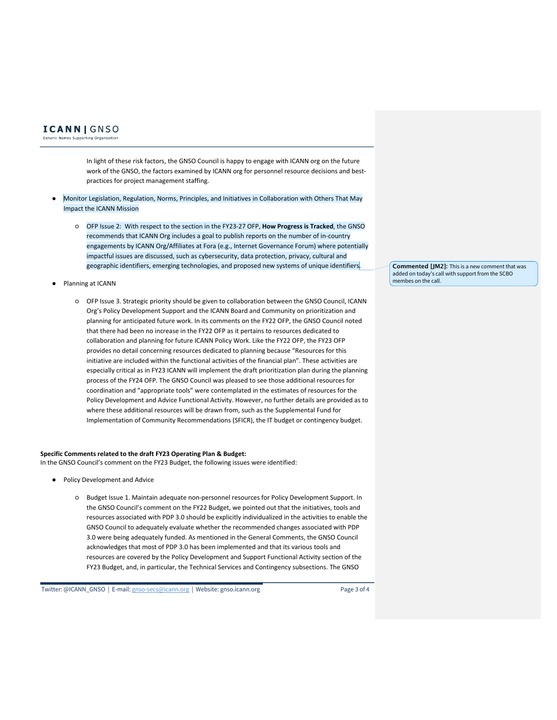## **ICANN** GNSO

Generic Names Supporting Organization

In light of these risk factors, the GNSO Council is happy to engage with ICANN org on the future work of the GNSO, the factors examined by ICANN org for personnel resource decisions and bestpractices for project management staffing.

- Monitor Legislation, Regulation, Norms, Principles, and Initiatives in Collaboration with Others That May Impact the ICANN Mission
	- OFP Issue 2: With respect to the section in the FY23-27 OFP, **How Progress is Tracked**, the GNSO recommends that ICANN Org includes a goal to publish reports on the number of in-country engagements by ICANN Org/Affiliates at Fora (e.g., Internet Governance Forum) where potentially impactful issues are discussed, such as cybersecurity, data protection, privacy, cultural and geographic identifiers, emerging technologies, and proposed new systems of unique identifiers.
- Planning at ICANN
	- OFP Issue 3. Strategic priority should be given to collaboration between the GNSO Council, ICANN Org's Policy Development Support and the ICANN Board and Community on prioritization and planning for anticipated future work. In its comments on the FY22 OFP, the GNSO Council noted that there had been no increase in the FY22 OFP as it pertains to resources dedicated to collaboration and planning for future ICANN Policy Work. Like the FY22 OFP, the FY23 OFP provides no detail concerning resources dedicated to planning because "Resources for this initiative are included within the functional activities of the financial plan". These activities are especially critical as in FY23 ICANN will implement the draft prioritization plan during the planning process of the FY24 OFP. The GNSO Council was pleased to see those additional resources for coordination and "appropriate tools" were contemplated in the estimates of resources for the Policy Development and Advice Functional Activity. However, no further details are provided as to where these additional resources will be drawn from, such as the Supplemental Fund for Implementation of Community Recommendations (SFICR), the IT budget or contingency budget.

### **Specific Comments related to the draft FY23 Operating Plan & Budget:**

In the GNSO Council's comment on the FY23 Budget, the following issues were identified:

- Policy Development and Advice
	- Budget Issue 1. Maintain adequate non-personnel resources for Policy Development Support. In the GNSO Council's comment on the FY22 Budget, we pointed out that the initiatives, tools and resources associated with PDP 3.0 should be explicitly individualized in the activities to enable the GNSO Council to adequately evaluate whether the recommended changes associated with PDP 3.0 were being adequately funded. As mentioned in the General Comments, the GNSO Council acknowledges that most of PDP 3.0 has been implemented and that its various tools and resources are covered by the Policy Development and Support Functional Activity section of the FY23 Budget, and, in particular, the Technical Services and Contingency subsections. The GNSO

Twitter: @ICANN\_GNSO | E-mail: gnso-secs@icann.org | Website: gnso.icann.org Page 3 of 4

**Commented [JM2]:** This is a new comment that was added on today's call with support from the SCBO membes on the call.